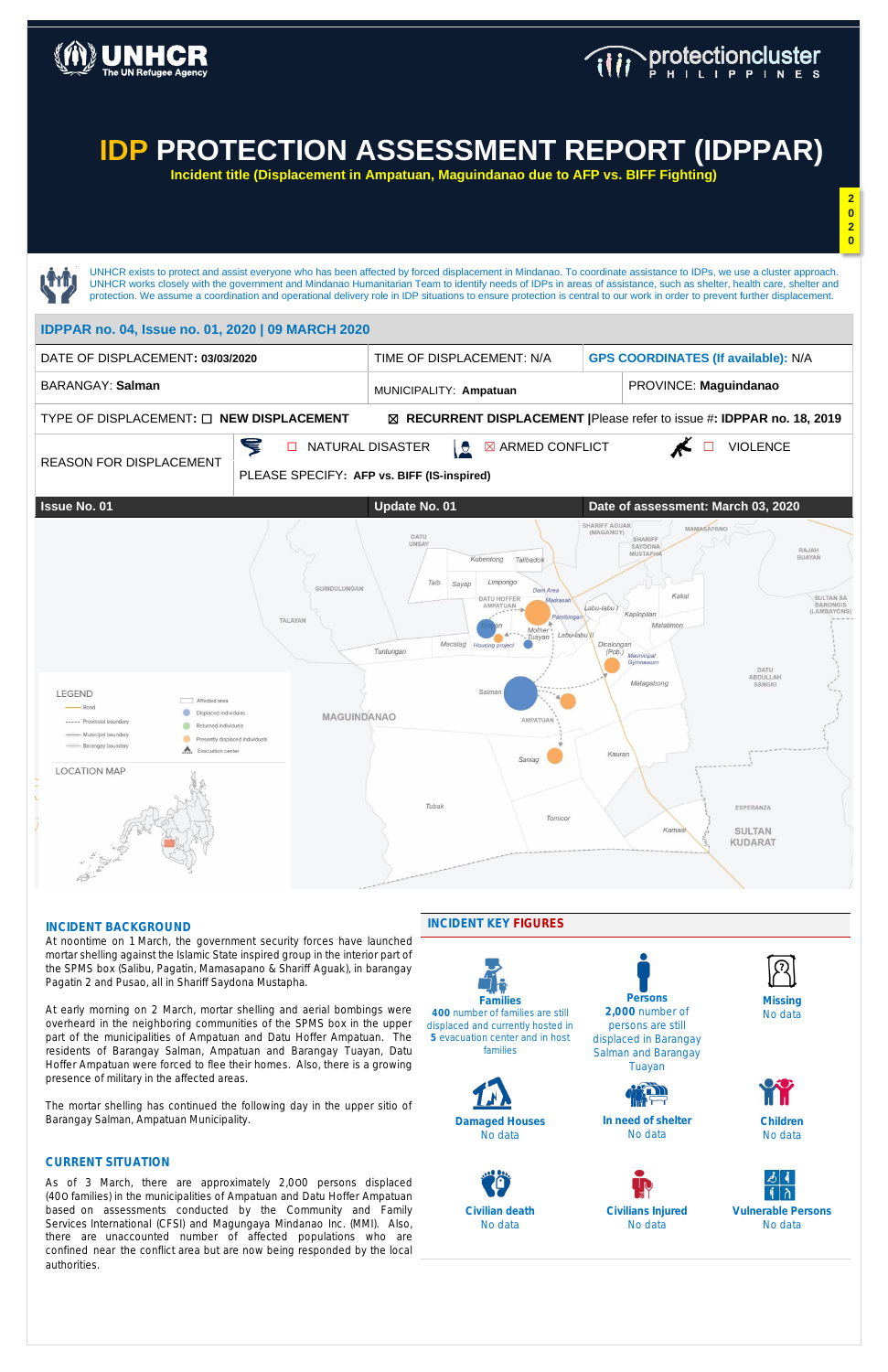

### **INCIDENT BACKGROUND**

At noontime on 1 March, the government security forces have launched mortar shelling against the Islamic State inspired group in the interior part of the SPMS box (Salibu, Pagatin, Mamasapano & Shariff Aguak), in barangay Pagatin 2 and Pusao, all in Shariff Saydona Mustapha.

At early morning on 2 March, mortar shelling and aerial bombings were overheard in the neighboring communities of the SPMS box in the upper part of the municipalities of Ampatuan and Datu Hoffer Ampatuan. The residents of Barangay Salman, Ampatuan and Barangay Tuayan, Datu Hoffer Ampatuan were forced to flee their homes. Also, there is a growing presence of military in the affected areas.

The mortar shelling has continued the following day in the upper sitio of Barangay Salman, Ampatuan Municipality.

### **CURRENT SITUATION**

As of 3 March, there are approximately 2,000 persons displaced (400 families) in the municipalities of Ampatuan and Datu Hoffer Ampatuan based on assessments conducted by the Community and Family Services International (CFSI) and Magungaya Mindanao Inc. (MMI). Also, there are unaccounted number of affected populations who are confined near the conflict area but are now being responded by the local authorities.

### **INCIDENT KEY FIGURES**

**400** number of families are still displaced and currently hosted in **5** evacuation center and in host families



**2,000** number of persons are still displaced in Barangay Salman and Barangay Tuayan



No data



**Damaged Houses** No data

**In need of shelter** No data



**Children** No data



**Civilian death**  No data

**Civilians Injured** No data

**Vulnerable Persons** No data

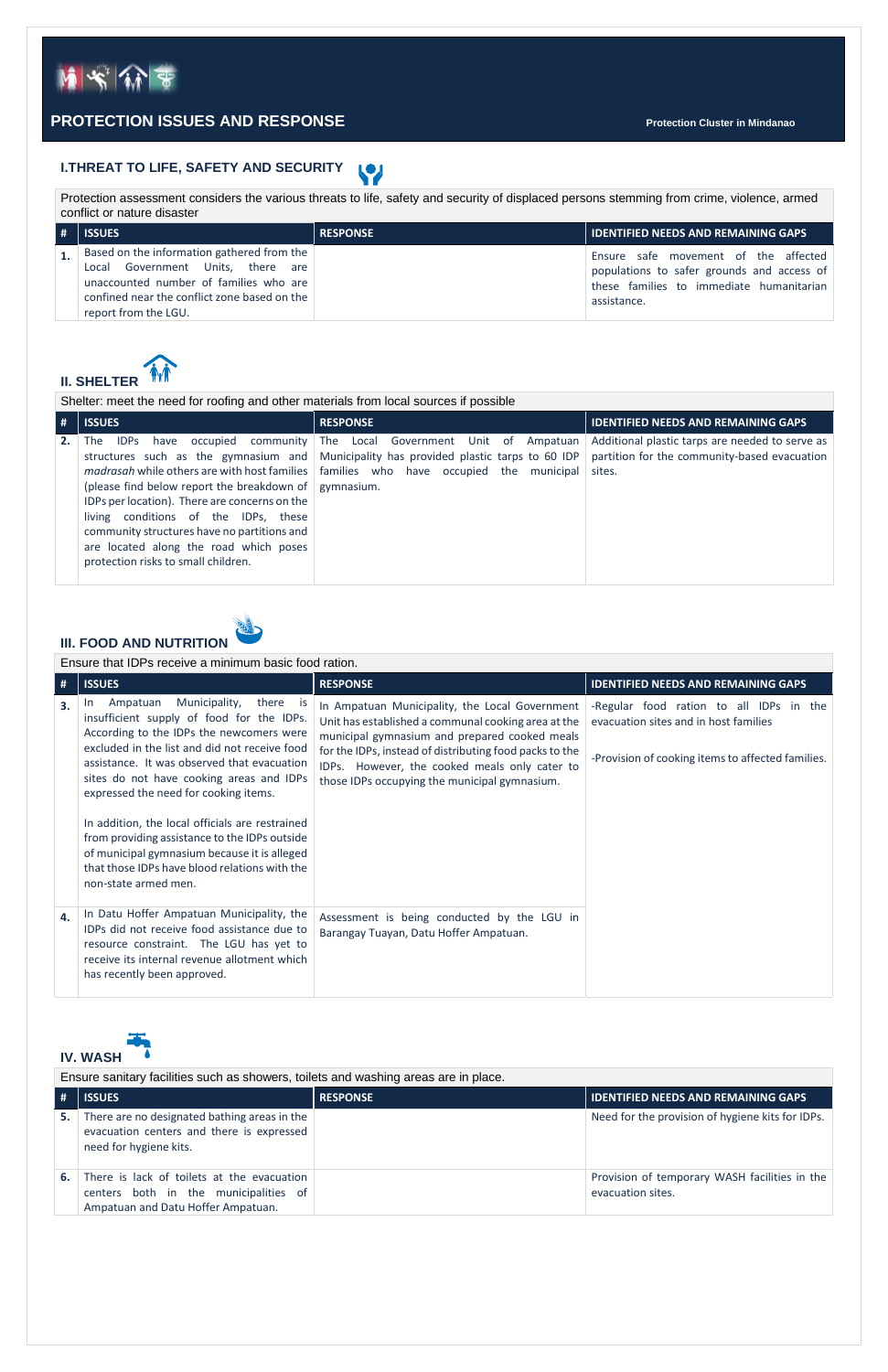Protection assessment considers the various threats to life, safety and security of displaced persons stemming from crime, violence, armed conflict or nature disaster

| l# | <b>ISSUES</b>                                                                                                                                                                                     | <b>RESPONSE</b> | <b>IDENTIFIED NEEDS AND REMAINING GAPS</b>                                                                                                    |
|----|---------------------------------------------------------------------------------------------------------------------------------------------------------------------------------------------------|-----------------|-----------------------------------------------------------------------------------------------------------------------------------------------|
|    | Based on the information gathered from the<br>Local Government Units, there are<br>unaccounted number of families who are<br>confined near the conflict zone based on the<br>report from the LGU. |                 | Ensure safe movement of the affected<br>populations to safer grounds and access of<br>these families to immediate humanitarian<br>assistance. |



Shelter: meet the need for roofing and other materials from local sources if possible **# ISSUES RESPONSE IDENTIFIED NEEDS AND REMAINING GAPS 2.** The IDPs have occupied community The Local Government Unit of Ampatuan structures such as the gymnasium and madrasah while others are with host families | families who have occupied the municipal (please find below report the breakdown of gymnasium. IDPs per location). There are concerns on the living conditions of the IDPs, these community structures have no partitions and are located along the road which poses protection risks to small children. Municipality has provided plastic tarps to 60 IDP Additional plastic tarps are needed to serve as partition for the community-based evacuation sites.



Ensure that IDPs receive a minimum basic food ration.

| #  | <b>ISSUES</b>                                                                                                                                                                                                                                                                                                                                                                                                                                                                                                                                                | <b>RESPONSE</b>                                                                                                                                                                                                                                                                                                     | <b>IDENTIFIED NEEDS AND REMAINING GAPS</b>                                                                                            |
|----|--------------------------------------------------------------------------------------------------------------------------------------------------------------------------------------------------------------------------------------------------------------------------------------------------------------------------------------------------------------------------------------------------------------------------------------------------------------------------------------------------------------------------------------------------------------|---------------------------------------------------------------------------------------------------------------------------------------------------------------------------------------------------------------------------------------------------------------------------------------------------------------------|---------------------------------------------------------------------------------------------------------------------------------------|
| 3. | Municipality,<br>there<br>Ampatuan<br>- is<br>In.<br>insufficient supply of food for the IDPs.<br>According to the IDPs the newcomers were<br>excluded in the list and did not receive food<br>assistance. It was observed that evacuation<br>sites do not have cooking areas and IDPs<br>expressed the need for cooking items.<br>In addition, the local officials are restrained<br>from providing assistance to the IDPs outside<br>of municipal gymnasium because it is alleged<br>that those IDPs have blood relations with the<br>non-state armed men. | In Ampatuan Municipality, the Local Government<br>Unit has established a communal cooking area at the<br>municipal gymnasium and prepared cooked meals<br>for the IDPs, instead of distributing food packs to the<br>IDPs. However, the cooked meals only cater to<br>those IDPs occupying the municipal gymnasium. | -Regular food ration to all IDPs in the<br>evacuation sites and in host families<br>-Provision of cooking items to affected families. |
| 4. | In Datu Hoffer Ampatuan Municipality, the<br>IDPs did not receive food assistance due to<br>resource constraint. The LGU has yet to<br>receive its internal revenue allotment which<br>has recently been approved.                                                                                                                                                                                                                                                                                                                                           | Assessment is being conducted by the LGU in<br>Barangay Tuayan, Datu Hoffer Ampatuan.                                                                                                                                                                                                                               |                                                                                                                                       |



Ensure sanitary facilities such as showers, toilets and washing areas are in place.

| #  | <b>ISSUES</b>                                                                                                             | <b>RESPONSE</b> | <b>IDENTIFIED NEEDS AND REMAINING GAPS</b>                         |
|----|---------------------------------------------------------------------------------------------------------------------------|-----------------|--------------------------------------------------------------------|
| 5. | There are no designated bathing areas in the<br>evacuation centers and there is expressed<br>need for hygiene kits.       |                 | Need for the provision of hygiene kits for IDPs.                   |
| 6. | There is lack of toilets at the evacuation<br>centers both in the municipalities of<br>Ampatuan and Datu Hoffer Ampatuan. |                 | Provision of temporary WASH facilities in the<br>evacuation sites. |



### **PROTECTION ISSUES AND RESPONSE Protection Cluster in Mindanao**

**I.THREAT TO LIFE, SAFETY AND SECURITY**  $\mathbf{C}$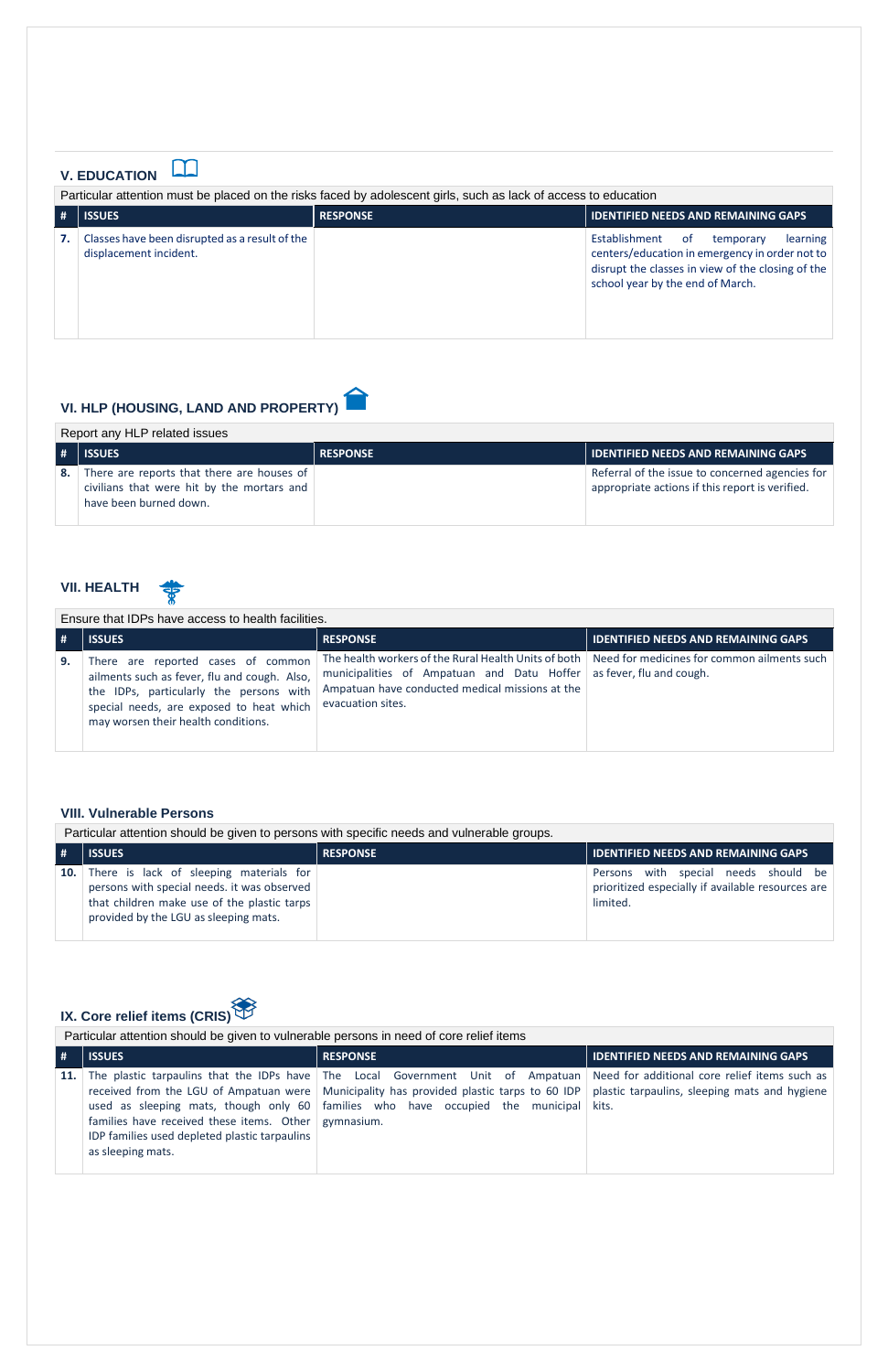### $\Box$ **V. EDUCATION**

Particular attention must be placed on the risks faced by adolescent girls, such as lack of access to education

| -# | <b>ISSUES</b>                                                            | <b>RESPONSE</b> | <b>IDENTIFIED NEEDS AND REMAINING GAPS</b>                                                                                                                                                |
|----|--------------------------------------------------------------------------|-----------------|-------------------------------------------------------------------------------------------------------------------------------------------------------------------------------------------|
|    | Classes have been disrupted as a result of the<br>displacement incident. |                 | Establishment<br>learning<br>of .<br>temporary<br>centers/education in emergency in order not to<br>disrupt the classes in view of the closing of the<br>school year by the end of March. |

## **VI. HLP (HOUSING, LAND AND PROPERTY)**

| Report any HLP related issues |  |  |
|-------------------------------|--|--|
|-------------------------------|--|--|

|    | <b>ISSUES</b>                                                                                                      | <b>RESPONSE</b> | <b>IDENTIFIED NEEDS AND REMAINING GAPS</b>                                                         |
|----|--------------------------------------------------------------------------------------------------------------------|-----------------|----------------------------------------------------------------------------------------------------|
| 8. | There are reports that there are houses of<br>civilians that were hit by the mortars and<br>have been burned down. |                 | Referral of the issue to concerned agencies for<br>appropriate actions if this report is verified. |

### **VII. HEALTH**

Ensure that IDPs have access to health facilities.

| #  | <b>ISSUES</b>                                                                                                                                                                                                    | <b>RESPONSE</b>                                                                                                                                                                                                                                   | <b>IDENTIFIED NEEDS AND REMAINING GAPS</b> |
|----|------------------------------------------------------------------------------------------------------------------------------------------------------------------------------------------------------------------|---------------------------------------------------------------------------------------------------------------------------------------------------------------------------------------------------------------------------------------------------|--------------------------------------------|
| 9. | There are reported cases of common<br>ailments such as fever, flu and cough. Also,<br>the IDPs, particularly the persons with<br>special needs, are exposed to heat which<br>may worsen their health conditions. | The health workers of the Rural Health Units of both   Need for medicines for common ailments such<br>municipalities of Ampatuan and Datu Hoffer as fever, flu and cough.<br>Ampatuan have conducted medical missions at the<br>evacuation sites. |                                            |

### **VIII. Vulnerable Persons**

Particular attention should be given to persons with specific needs and vulnerable groups.

| <b>ISSUES</b>                                                                                                                                                                             | <b>RESPONSE</b> | <b>IDENTIFIED NEEDS AND REMAINING GAPS</b>                                                            |
|-------------------------------------------------------------------------------------------------------------------------------------------------------------------------------------------|-----------------|-------------------------------------------------------------------------------------------------------|
| <b>10.</b> There is lack of sleeping materials for<br>persons with special needs. it was observed<br>that children make use of the plastic tarps<br>provided by the LGU as sleeping mats. |                 | Persons with special needs should be<br>prioritized especially if available resources are<br>limited. |



# **IX. Core relief items (CRIS)**

### Particular attention should be given to vulnerable persons in need of core relief items

| #          | <b>ISSUES</b>                                                                                                              | <b>RESPONSE</b>                                                                                                                                                                                                                                                                                                                                                       | <b>IDENTIFIED NEEDS AND REMAINING GAPS</b> |
|------------|----------------------------------------------------------------------------------------------------------------------------|-----------------------------------------------------------------------------------------------------------------------------------------------------------------------------------------------------------------------------------------------------------------------------------------------------------------------------------------------------------------------|--------------------------------------------|
| <b>11.</b> | families have received these items. Other gymnasium.<br>IDP families used depleted plastic tarpaulins<br>as sleeping mats. | The plastic tarpaulins that the IDPs have The Local Government Unit of Ampatuan Need for additional core relief items such as<br>received from the LGU of Ampatuan were   Municipality has provided plastic tarps to 60 IDP   plastic tarpaulins, sleeping mats and hygiene<br>used as sleeping mats, though only $60$ families who have occupied the municipal kits. |                                            |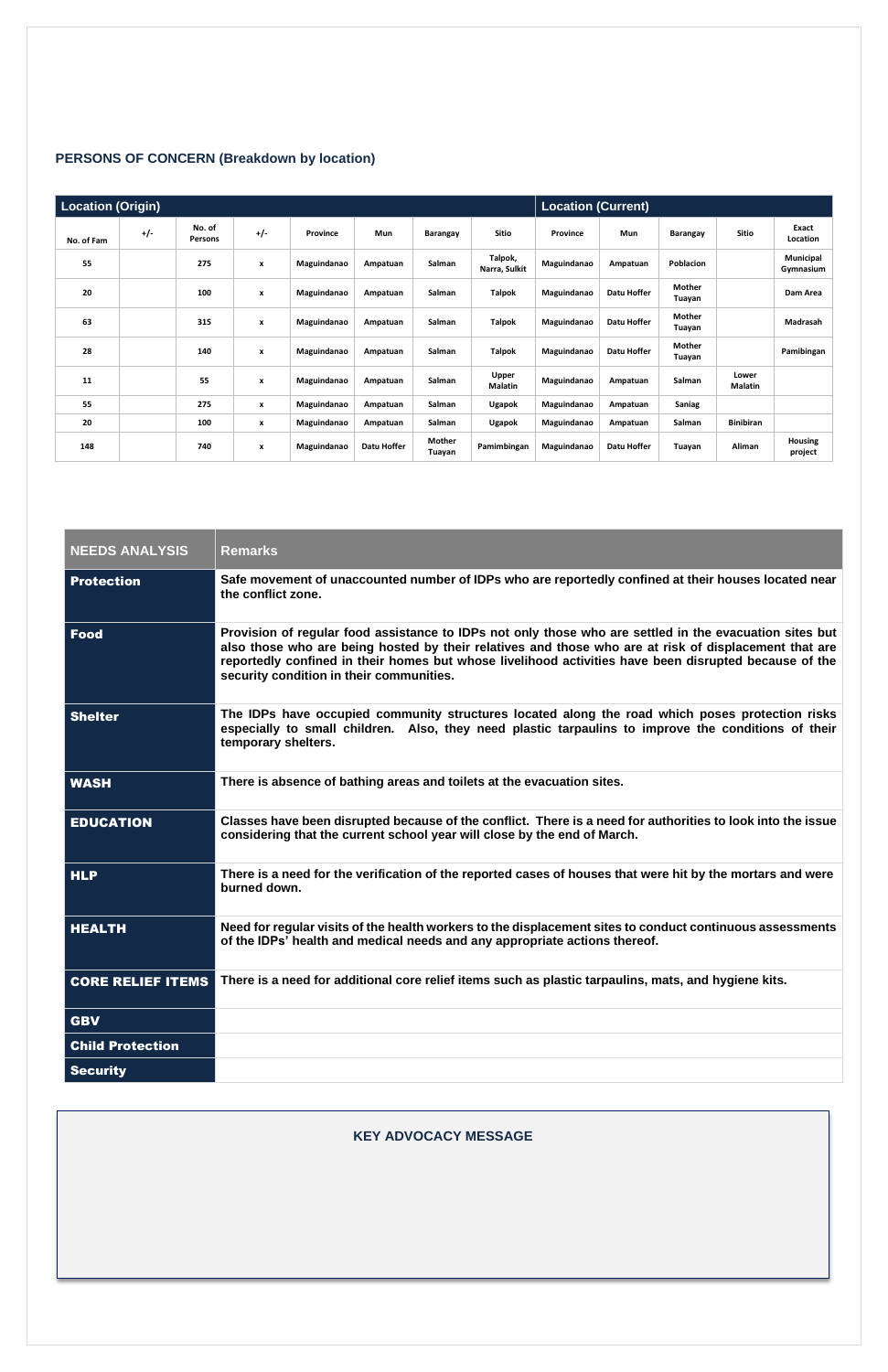### **PERSONS OF CONCERN (Breakdown by location)**

|            | <b>Location (Origin)</b> |                   |                           |             |             |                  | <b>Location (Current)</b> |             |             |                  |                  |                           |
|------------|--------------------------|-------------------|---------------------------|-------------|-------------|------------------|---------------------------|-------------|-------------|------------------|------------------|---------------------------|
| No. of Fam | $+/-$                    | No. of<br>Persons | $+/-$                     | Province    | Mun         | Barangay         | <b>Sitio</b>              | Province    | Mun         | Barangay         | Sitio            | Exact<br>Location         |
| 55         |                          | 275               | x                         | Maguindanao | Ampatuan    | Salman           | Talpok,<br>Narra, Sulkit  | Maguindanao | Ampatuan    | Poblacion        |                  | Municipal<br>Gymnasium    |
| 20         |                          | 100               | $\boldsymbol{x}$          | Maguindanao | Ampatuan    | Salman           | <b>Talpok</b>             | Maguindanao | Datu Hoffer | Mother<br>Tuayan |                  | Dam Area                  |
| 63         |                          | 315               | x                         | Maguindanao | Ampatuan    | Salman           | <b>Talpok</b>             | Maguindanao | Datu Hoffer | Mother<br>Tuayan |                  | Madrasah                  |
| 28         |                          | 140               | $\boldsymbol{\mathsf{x}}$ | Maguindanao | Ampatuan    | Salman           | <b>Talpok</b>             | Maguindanao | Datu Hoffer | Mother<br>Tuayan |                  | Pamibingan                |
| 11         |                          | 55                | $\boldsymbol{x}$          | Maguindanao | Ampatuan    | Salman           | <b>Upper</b><br>Malatin   | Maguindanao | Ampatuan    | Salman           | Lower<br>Malatin |                           |
| 55         |                          | 275               | $\boldsymbol{x}$          | Maguindanao | Ampatuan    | Salman           | Ugapok                    | Maguindanao | Ampatuan    | Saniag           |                  |                           |
| 20         |                          | 100               | x                         | Maguindanao | Ampatuan    | Salman           | Ugapok                    | Maguindanao | Ampatuan    | Salman           | <b>Binibiran</b> |                           |
| 148        |                          | 740               | x                         | Maguindanao | Datu Hoffer | Mother<br>Tuayan | Pamimbingan               | Maguindanao | Datu Hoffer | Tuayan           | Aliman           | <b>Housing</b><br>project |

| <b>NEEDS ANALYSIS</b>    | <b>Remarks</b>                                                                                                                                                                                                                                                                                                                                                        |
|--------------------------|-----------------------------------------------------------------------------------------------------------------------------------------------------------------------------------------------------------------------------------------------------------------------------------------------------------------------------------------------------------------------|
| <b>Protection</b>        | Safe movement of unaccounted number of IDPs who are reportedly confined at their houses located near<br>the conflict zone.                                                                                                                                                                                                                                            |
| <b>Food</b>              | Provision of regular food assistance to IDPs not only those who are settled in the evacuation sites but<br>also those who are being hosted by their relatives and those who are at risk of displacement that are<br>reportedly confined in their homes but whose livelihood activities have been disrupted because of the<br>security condition in their communities. |
| <b>Shelter</b>           | The IDPs have occupied community structures located along the road which poses protection risks<br>especially to small children. Also, they need plastic tarpaulins to improve the conditions of their<br>temporary shelters.                                                                                                                                         |
| <b>WASH</b>              | There is absence of bathing areas and toilets at the evacuation sites.                                                                                                                                                                                                                                                                                                |
| <b>EDUCATION</b>         | Classes have been disrupted because of the conflict. There is a need for authorities to look into the issue<br>considering that the current school year will close by the end of March.                                                                                                                                                                               |
| <b>HLP</b>               | There is a need for the verification of the reported cases of houses that were hit by the mortars and were<br>burned down.                                                                                                                                                                                                                                            |
| <b>HEALTH</b>            | Need for regular visits of the health workers to the displacement sites to conduct continuous assessments<br>of the IDPs' health and medical needs and any appropriate actions thereof.                                                                                                                                                                               |
| <b>CORE RELIEF ITEMS</b> | There is a need for additional core relief items such as plastic tarpaulins, mats, and hygiene kits.                                                                                                                                                                                                                                                                  |